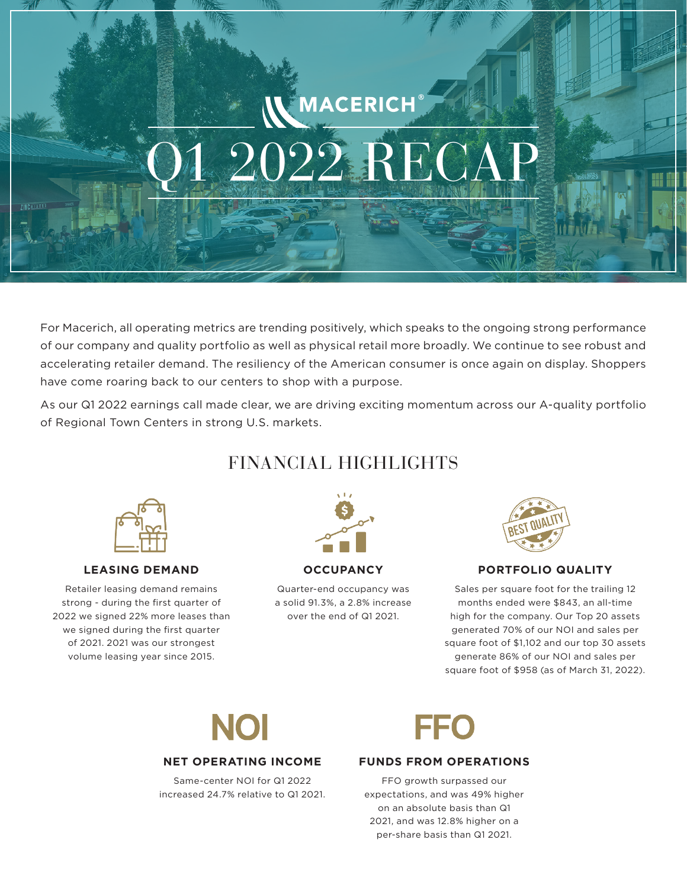# MACERICH  $2022$  RECA

For Macerich, all operating metrics are trending positively, which speaks to the ongoing strong performance of our company and quality portfolio as well as physical retail more broadly. We continue to see robust and accelerating retailer demand. The resiliency of the American consumer is once again on display. Shoppers have come roaring back to our centers to shop with a purpose.

As our Q1 2022 earnings call made clear, we are driving exciting momentum across our A-quality portfolio of Regional Town Centers in strong U.S. markets.

### FINANCIAL HIGHLIGHTS



#### **LEASING DEMAND**

Retailer leasing demand remains strong - during the first quarter of 2022 we signed 22% more leases than we signed during the first quarter of 2021. 2021 was our strongest volume leasing year since 2015.



#### **OCCUPANCY**

Quarter-end occupancy was a solid 91.3%, a 2.8% increase over the end of Q1 2021.



#### **PORTFOLIO QUALITY**

Sales per square foot for the trailing 12 months ended were \$843, an all-time high for the company. Our Top 20 assets generated 70% of our NOI and sales per square foot of \$1,102 and our top 30 assets generate 86% of our NOI and sales per square foot of \$958 (as of March 31, 2022).

## NOI

#### **NET OPERATING INCOME**

Same-center NOI for Q1 2022 increased 24.7% relative to Q1 2021.



#### **FUNDS FROM OPERATIONS**

FFO growth surpassed our expectations, and was 49% higher on an absolute basis than Q1 2021, and was 12.8% higher on a per-share basis than Q1 2021.